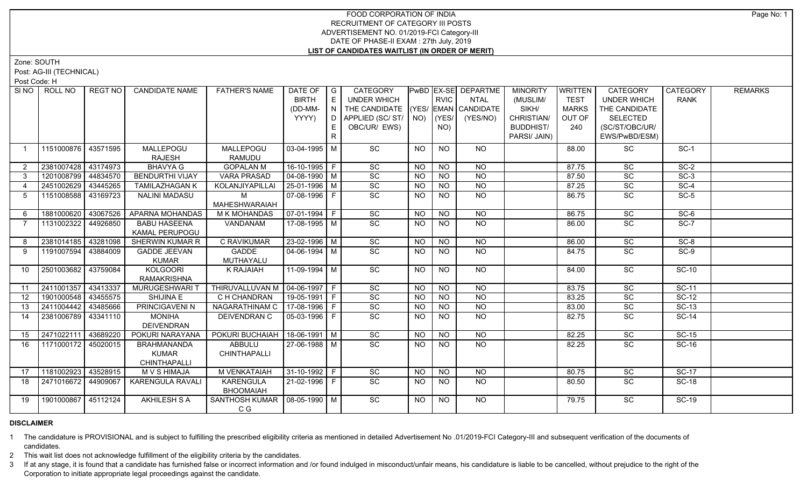## FOOD CORPORATION OF INDIA RECRUITMENT OF CATEGORY III POSTS ADVERTISEMENT NO. 01/2019-FCI Category-III DATE OF PHASE-II EXAM : 27th July, 2019 **LIST OF CANDIDATES WAITLIST (IN ORDER OF MERIT)**

Zone: SOUTH

Post: AG-III (TECHNICAL)

Post Code: H

| THE CANDIDATE (YES/ EMAN CANDIDATE<br>(DD-MM-<br>$\overline{\phantom{a}}$<br>SIKH/<br><b>MARKS</b><br>THE CANDIDATE<br>YYYY)<br>APPLIED (SC/ST/   NO)<br>$ $ (YES/<br>CHRISTIAN/<br>(YES/NO)<br>OUT OF<br><b>SELECTED</b><br>D.<br>OBC/UR/ EWS)<br>NO)<br><b>BUDDHIST/</b><br>(SC/ST/OBC/UR/<br>240<br>E.<br>R.<br>PARSI/ JAIN)<br>EWS/PwBD/ESM)<br>SC<br><b>NO</b><br>1151000876 43571595<br>MALLEPOGU<br>MALLEPOGU<br>$03-04-1995$ M<br><b>NO</b><br>SC<br>$SC-1$<br>NO.<br>88.00<br>$\overline{1}$<br>RAMUDU<br><b>RAJESH</b><br>2381007428 43174973<br>$16-10-1995$ F<br><b>BHAVYA G</b><br><b>GOPALAN M</b><br>SC<br><b>NO</b><br>SC<br>$SC-2$<br><b>NO</b><br><b>NO</b><br>87.75<br>$\overline{2}$<br>SC<br><b>VARA PRASAD</b><br>  04-08-1990   M<br><b>NO</b><br>SC<br>$SC-3$<br>1201008799<br>44834570<br><b>BENDURTHI VIJAY</b><br><b>NO</b><br><b>NO</b><br>87.50<br>$3^{\circ}$<br>$ 25-01-1996 $ M<br>SC<br>N <sub>O</sub><br>N <sub>O</sub><br>SC<br>$SC-4$<br>2451002629 43445265<br><b>TAMILAZHAGAN K</b><br><b>NO</b><br>87.25<br>KOLANJIYAPILLAI<br>$\overline{4}$<br>SC<br>N <sub>O</sub><br>SC<br>$SC-5$<br>43169723<br><b>NALINI MADASU</b><br>M<br>07-08-1996 F<br><b>NO</b><br>1151008588<br><b>NO</b><br>86.75<br>5<br><b>MAHESHWARAIAH</b><br>SC<br>$ 07-01-1994 F$<br>N <sub>O</sub><br>$\overline{NO}$<br>SC<br>$SC-6$<br>1881000620<br>43067526<br>APARNA MOHANDAS<br>M K MOHANDAS<br><b>NO</b><br>86.75<br>-6<br>$\overline{SC}$<br>$SC-7$<br>1131002322<br>44926850<br>VANDANAM<br>17-08-1995 M<br>NO<br>NO<br><b>SC</b><br><b>BABU HASEENA</b><br><b>NO</b><br>86.00<br>$\overline{7}$<br><b>KAMAL PERUPOGU</b><br><b>C RAVIKUMAR</b><br>$23 - 02 - 1996$ M<br>$\overline{SC}$<br>43281098<br><b>SHERWIN KUMAR R</b><br>N <sub>O</sub><br>$\overline{NO}$<br>$\overline{SC}$<br>$SC-8$<br>2381014185<br><b>NO</b><br>86.00<br>-8<br>$\overline{SC}$<br><b>GADDE</b><br>$\boxed{04-06-1994}$ M<br>N <sub>O</sub><br>$\overline{SC}$<br>$SC-9$<br>1191007594<br>43884009<br><b>GADDE JEEVAN</b><br><b>NO</b><br><b>NO</b><br>84.75<br>9<br>MUTHAYALU<br><b>KUMAR</b><br>$\overline{SC}$<br>2501003682 43759084<br><b>KOLGOORI</b><br><b>K RAJAIAH</b><br>$11-09-1994$ M<br>$N$ O<br>$\overline{SC}$<br>$SC-10$<br><b>NO</b><br>10<br><b>NO</b><br>84.00<br><b>RAMAKRISHNA</b><br>2411001357<br>43413337<br>THIRUVALLUVAN M   04-06-1997   F<br>SC<br>SC<br><b>SC-11</b><br>$N$ O<br>$N$ <sup>O</sup><br>83.75<br>MURUGESHWARI T<br><b>NO</b><br>11<br>1901000548 43455575<br>$19-05-1991$ F<br>C H CHANDRAN<br>SC<br>$N$ O<br>$N$ O<br>83.25<br>SC<br><b>SC-12</b><br>12<br>SHIJINA E<br><b>NO</b><br>SC<br>NAGARATHINAM C<br>$17-08-1996$ F<br>NO<br>$N$ O<br>SC<br>$SC-13$<br>2411004442 43485666<br>PRINCIGAVENI N<br><b>NO</b><br>13<br>83.00<br>SC<br>$N$ <sup>O</sup><br>SC<br>$SC-14$<br>2381006789 3341110<br><b>MONIHA</b><br>DEIVENDRAN C<br>  05-03-1996   F<br>NO<br>82.75<br>14<br>NO.<br><b>DEIVENDRAN</b><br>43689220<br>POKURI BUCHAIAH   18-06-1991   M<br>SC<br>N <sub>O</sub><br>$\overline{NQ}$<br>SC<br>$SC-15$<br>2471022111<br>POKURI NARAYANA<br>82.25<br><b>NO</b><br>15<br>$\overline{SC}$<br>27-06-1988 M<br><b>NO</b><br>SC<br><b>SC-16</b><br>1171000172<br>45020015<br><b>BRAHMANANDA</b><br>ABBULU<br><b>NO</b><br><b>NO</b><br>82.25<br>16<br>CHINTHAPALLI<br><b>KUMAR</b><br>CHINTHAPALLI<br>43528915<br>1181002923<br><b>M VENKATAIAH</b><br>$31-10-1992$ F<br>SC<br><b>SC-17</b><br><b>MVSHIMAJA</b><br><b>NO</b><br>NO<br>80.75<br>SC<br>17<br>NO.<br>$\overline{SC}$<br>2471016672 44909067<br><b>KARENGULA</b><br>$21-02-1996$ F<br>NO<br>$\overline{SC}$<br><b>SC-18</b><br>KARENGULA RAVALI<br><b>NO</b><br>NO<br>18<br>80.50<br><b>BHOOMAIAH</b><br>1901000867 45112124<br><b>AKHILESH S A</b><br>$\overline{SC}$<br>SANTHOSH KUMAR   08-05-1990   M<br><b>NO</b><br><b>NO</b><br><b>SC</b><br><b>SC-19</b><br>19<br><b>NO</b><br>79.75 | SI NO I | ROLL NO | REGT NO | <b>CANDIDATE NAME</b> | <b>FATHER'S NAME</b> | DATE OF $ G $ |   | <b>CATEGORY</b>    |      | PwBD EX-SE DEPARTME | <b>MINORITY</b> | WRITTEN     | CATEGORY           | CATEGORY    | <b>REMARKS</b> |
|---------------------------------------------------------------------------------------------------------------------------------------------------------------------------------------------------------------------------------------------------------------------------------------------------------------------------------------------------------------------------------------------------------------------------------------------------------------------------------------------------------------------------------------------------------------------------------------------------------------------------------------------------------------------------------------------------------------------------------------------------------------------------------------------------------------------------------------------------------------------------------------------------------------------------------------------------------------------------------------------------------------------------------------------------------------------------------------------------------------------------------------------------------------------------------------------------------------------------------------------------------------------------------------------------------------------------------------------------------------------------------------------------------------------------------------------------------------------------------------------------------------------------------------------------------------------------------------------------------------------------------------------------------------------------------------------------------------------------------------------------------------------------------------------------------------------------------------------------------------------------------------------------------------------------------------------------------------------------------------------------------------------------------------------------------------------------------------------------------------------------------------------------------------------------------------------------------------------------------------------------------------------------------------------------------------------------------------------------------------------------------------------------------------------------------------------------------------------------------------------------------------------------------------------------------------------------------------------------------------------------------------------------------------------------------------------------------------------------------------------------------------------------------------------------------------------------------------------------------------------------------------------------------------------------------------------------------------------------------------------------------------------------------------------------------------------------------------------------------------------------------------------------------------------------------------------------------------------------------------------------------------------------------------------------------------------------------------------------------------------------------------------------------------------------------------------------------------------------------------------------------------------------------------------------------------------------------------------------------------------------------------------------------------------------------------------------------------------------------------------------------------------------------------------------------------------------------------------------------------------------------------------------------------|---------|---------|---------|-----------------------|----------------------|---------------|---|--------------------|------|---------------------|-----------------|-------------|--------------------|-------------|----------------|
|                                                                                                                                                                                                                                                                                                                                                                                                                                                                                                                                                                                                                                                                                                                                                                                                                                                                                                                                                                                                                                                                                                                                                                                                                                                                                                                                                                                                                                                                                                                                                                                                                                                                                                                                                                                                                                                                                                                                                                                                                                                                                                                                                                                                                                                                                                                                                                                                                                                                                                                                                                                                                                                                                                                                                                                                                                                                                                                                                                                                                                                                                                                                                                                                                                                                                                                                                                                                                                                                                                                                                                                                                                                                                                                                                                                                                                                                                                               |         |         |         |                       |                      | <b>BIRTH</b>  | E | <b>UNDER WHICH</b> | RVIC | <b>NTAL</b>         | (MUSLIM/        | <b>TEST</b> | <b>UNDER WHICH</b> | <b>RANK</b> |                |
|                                                                                                                                                                                                                                                                                                                                                                                                                                                                                                                                                                                                                                                                                                                                                                                                                                                                                                                                                                                                                                                                                                                                                                                                                                                                                                                                                                                                                                                                                                                                                                                                                                                                                                                                                                                                                                                                                                                                                                                                                                                                                                                                                                                                                                                                                                                                                                                                                                                                                                                                                                                                                                                                                                                                                                                                                                                                                                                                                                                                                                                                                                                                                                                                                                                                                                                                                                                                                                                                                                                                                                                                                                                                                                                                                                                                                                                                                                               |         |         |         |                       |                      |               |   |                    |      |                     |                 |             |                    |             |                |
|                                                                                                                                                                                                                                                                                                                                                                                                                                                                                                                                                                                                                                                                                                                                                                                                                                                                                                                                                                                                                                                                                                                                                                                                                                                                                                                                                                                                                                                                                                                                                                                                                                                                                                                                                                                                                                                                                                                                                                                                                                                                                                                                                                                                                                                                                                                                                                                                                                                                                                                                                                                                                                                                                                                                                                                                                                                                                                                                                                                                                                                                                                                                                                                                                                                                                                                                                                                                                                                                                                                                                                                                                                                                                                                                                                                                                                                                                                               |         |         |         |                       |                      |               |   |                    |      |                     |                 |             |                    |             |                |
|                                                                                                                                                                                                                                                                                                                                                                                                                                                                                                                                                                                                                                                                                                                                                                                                                                                                                                                                                                                                                                                                                                                                                                                                                                                                                                                                                                                                                                                                                                                                                                                                                                                                                                                                                                                                                                                                                                                                                                                                                                                                                                                                                                                                                                                                                                                                                                                                                                                                                                                                                                                                                                                                                                                                                                                                                                                                                                                                                                                                                                                                                                                                                                                                                                                                                                                                                                                                                                                                                                                                                                                                                                                                                                                                                                                                                                                                                                               |         |         |         |                       |                      |               |   |                    |      |                     |                 |             |                    |             |                |
|                                                                                                                                                                                                                                                                                                                                                                                                                                                                                                                                                                                                                                                                                                                                                                                                                                                                                                                                                                                                                                                                                                                                                                                                                                                                                                                                                                                                                                                                                                                                                                                                                                                                                                                                                                                                                                                                                                                                                                                                                                                                                                                                                                                                                                                                                                                                                                                                                                                                                                                                                                                                                                                                                                                                                                                                                                                                                                                                                                                                                                                                                                                                                                                                                                                                                                                                                                                                                                                                                                                                                                                                                                                                                                                                                                                                                                                                                                               |         |         |         |                       |                      |               |   |                    |      |                     |                 |             |                    |             |                |
|                                                                                                                                                                                                                                                                                                                                                                                                                                                                                                                                                                                                                                                                                                                                                                                                                                                                                                                                                                                                                                                                                                                                                                                                                                                                                                                                                                                                                                                                                                                                                                                                                                                                                                                                                                                                                                                                                                                                                                                                                                                                                                                                                                                                                                                                                                                                                                                                                                                                                                                                                                                                                                                                                                                                                                                                                                                                                                                                                                                                                                                                                                                                                                                                                                                                                                                                                                                                                                                                                                                                                                                                                                                                                                                                                                                                                                                                                                               |         |         |         |                       |                      |               |   |                    |      |                     |                 |             |                    |             |                |
|                                                                                                                                                                                                                                                                                                                                                                                                                                                                                                                                                                                                                                                                                                                                                                                                                                                                                                                                                                                                                                                                                                                                                                                                                                                                                                                                                                                                                                                                                                                                                                                                                                                                                                                                                                                                                                                                                                                                                                                                                                                                                                                                                                                                                                                                                                                                                                                                                                                                                                                                                                                                                                                                                                                                                                                                                                                                                                                                                                                                                                                                                                                                                                                                                                                                                                                                                                                                                                                                                                                                                                                                                                                                                                                                                                                                                                                                                                               |         |         |         |                       |                      |               |   |                    |      |                     |                 |             |                    |             |                |
|                                                                                                                                                                                                                                                                                                                                                                                                                                                                                                                                                                                                                                                                                                                                                                                                                                                                                                                                                                                                                                                                                                                                                                                                                                                                                                                                                                                                                                                                                                                                                                                                                                                                                                                                                                                                                                                                                                                                                                                                                                                                                                                                                                                                                                                                                                                                                                                                                                                                                                                                                                                                                                                                                                                                                                                                                                                                                                                                                                                                                                                                                                                                                                                                                                                                                                                                                                                                                                                                                                                                                                                                                                                                                                                                                                                                                                                                                                               |         |         |         |                       |                      |               |   |                    |      |                     |                 |             |                    |             |                |
|                                                                                                                                                                                                                                                                                                                                                                                                                                                                                                                                                                                                                                                                                                                                                                                                                                                                                                                                                                                                                                                                                                                                                                                                                                                                                                                                                                                                                                                                                                                                                                                                                                                                                                                                                                                                                                                                                                                                                                                                                                                                                                                                                                                                                                                                                                                                                                                                                                                                                                                                                                                                                                                                                                                                                                                                                                                                                                                                                                                                                                                                                                                                                                                                                                                                                                                                                                                                                                                                                                                                                                                                                                                                                                                                                                                                                                                                                                               |         |         |         |                       |                      |               |   |                    |      |                     |                 |             |                    |             |                |
|                                                                                                                                                                                                                                                                                                                                                                                                                                                                                                                                                                                                                                                                                                                                                                                                                                                                                                                                                                                                                                                                                                                                                                                                                                                                                                                                                                                                                                                                                                                                                                                                                                                                                                                                                                                                                                                                                                                                                                                                                                                                                                                                                                                                                                                                                                                                                                                                                                                                                                                                                                                                                                                                                                                                                                                                                                                                                                                                                                                                                                                                                                                                                                                                                                                                                                                                                                                                                                                                                                                                                                                                                                                                                                                                                                                                                                                                                                               |         |         |         |                       |                      |               |   |                    |      |                     |                 |             |                    |             |                |
|                                                                                                                                                                                                                                                                                                                                                                                                                                                                                                                                                                                                                                                                                                                                                                                                                                                                                                                                                                                                                                                                                                                                                                                                                                                                                                                                                                                                                                                                                                                                                                                                                                                                                                                                                                                                                                                                                                                                                                                                                                                                                                                                                                                                                                                                                                                                                                                                                                                                                                                                                                                                                                                                                                                                                                                                                                                                                                                                                                                                                                                                                                                                                                                                                                                                                                                                                                                                                                                                                                                                                                                                                                                                                                                                                                                                                                                                                                               |         |         |         |                       |                      |               |   |                    |      |                     |                 |             |                    |             |                |
|                                                                                                                                                                                                                                                                                                                                                                                                                                                                                                                                                                                                                                                                                                                                                                                                                                                                                                                                                                                                                                                                                                                                                                                                                                                                                                                                                                                                                                                                                                                                                                                                                                                                                                                                                                                                                                                                                                                                                                                                                                                                                                                                                                                                                                                                                                                                                                                                                                                                                                                                                                                                                                                                                                                                                                                                                                                                                                                                                                                                                                                                                                                                                                                                                                                                                                                                                                                                                                                                                                                                                                                                                                                                                                                                                                                                                                                                                                               |         |         |         |                       |                      |               |   |                    |      |                     |                 |             |                    |             |                |
|                                                                                                                                                                                                                                                                                                                                                                                                                                                                                                                                                                                                                                                                                                                                                                                                                                                                                                                                                                                                                                                                                                                                                                                                                                                                                                                                                                                                                                                                                                                                                                                                                                                                                                                                                                                                                                                                                                                                                                                                                                                                                                                                                                                                                                                                                                                                                                                                                                                                                                                                                                                                                                                                                                                                                                                                                                                                                                                                                                                                                                                                                                                                                                                                                                                                                                                                                                                                                                                                                                                                                                                                                                                                                                                                                                                                                                                                                                               |         |         |         |                       |                      |               |   |                    |      |                     |                 |             |                    |             |                |
|                                                                                                                                                                                                                                                                                                                                                                                                                                                                                                                                                                                                                                                                                                                                                                                                                                                                                                                                                                                                                                                                                                                                                                                                                                                                                                                                                                                                                                                                                                                                                                                                                                                                                                                                                                                                                                                                                                                                                                                                                                                                                                                                                                                                                                                                                                                                                                                                                                                                                                                                                                                                                                                                                                                                                                                                                                                                                                                                                                                                                                                                                                                                                                                                                                                                                                                                                                                                                                                                                                                                                                                                                                                                                                                                                                                                                                                                                                               |         |         |         |                       |                      |               |   |                    |      |                     |                 |             |                    |             |                |
|                                                                                                                                                                                                                                                                                                                                                                                                                                                                                                                                                                                                                                                                                                                                                                                                                                                                                                                                                                                                                                                                                                                                                                                                                                                                                                                                                                                                                                                                                                                                                                                                                                                                                                                                                                                                                                                                                                                                                                                                                                                                                                                                                                                                                                                                                                                                                                                                                                                                                                                                                                                                                                                                                                                                                                                                                                                                                                                                                                                                                                                                                                                                                                                                                                                                                                                                                                                                                                                                                                                                                                                                                                                                                                                                                                                                                                                                                                               |         |         |         |                       |                      |               |   |                    |      |                     |                 |             |                    |             |                |
|                                                                                                                                                                                                                                                                                                                                                                                                                                                                                                                                                                                                                                                                                                                                                                                                                                                                                                                                                                                                                                                                                                                                                                                                                                                                                                                                                                                                                                                                                                                                                                                                                                                                                                                                                                                                                                                                                                                                                                                                                                                                                                                                                                                                                                                                                                                                                                                                                                                                                                                                                                                                                                                                                                                                                                                                                                                                                                                                                                                                                                                                                                                                                                                                                                                                                                                                                                                                                                                                                                                                                                                                                                                                                                                                                                                                                                                                                                               |         |         |         |                       |                      |               |   |                    |      |                     |                 |             |                    |             |                |
|                                                                                                                                                                                                                                                                                                                                                                                                                                                                                                                                                                                                                                                                                                                                                                                                                                                                                                                                                                                                                                                                                                                                                                                                                                                                                                                                                                                                                                                                                                                                                                                                                                                                                                                                                                                                                                                                                                                                                                                                                                                                                                                                                                                                                                                                                                                                                                                                                                                                                                                                                                                                                                                                                                                                                                                                                                                                                                                                                                                                                                                                                                                                                                                                                                                                                                                                                                                                                                                                                                                                                                                                                                                                                                                                                                                                                                                                                                               |         |         |         |                       |                      |               |   |                    |      |                     |                 |             |                    |             |                |
|                                                                                                                                                                                                                                                                                                                                                                                                                                                                                                                                                                                                                                                                                                                                                                                                                                                                                                                                                                                                                                                                                                                                                                                                                                                                                                                                                                                                                                                                                                                                                                                                                                                                                                                                                                                                                                                                                                                                                                                                                                                                                                                                                                                                                                                                                                                                                                                                                                                                                                                                                                                                                                                                                                                                                                                                                                                                                                                                                                                                                                                                                                                                                                                                                                                                                                                                                                                                                                                                                                                                                                                                                                                                                                                                                                                                                                                                                                               |         |         |         |                       |                      |               |   |                    |      |                     |                 |             |                    |             |                |
|                                                                                                                                                                                                                                                                                                                                                                                                                                                                                                                                                                                                                                                                                                                                                                                                                                                                                                                                                                                                                                                                                                                                                                                                                                                                                                                                                                                                                                                                                                                                                                                                                                                                                                                                                                                                                                                                                                                                                                                                                                                                                                                                                                                                                                                                                                                                                                                                                                                                                                                                                                                                                                                                                                                                                                                                                                                                                                                                                                                                                                                                                                                                                                                                                                                                                                                                                                                                                                                                                                                                                                                                                                                                                                                                                                                                                                                                                                               |         |         |         |                       |                      |               |   |                    |      |                     |                 |             |                    |             |                |
|                                                                                                                                                                                                                                                                                                                                                                                                                                                                                                                                                                                                                                                                                                                                                                                                                                                                                                                                                                                                                                                                                                                                                                                                                                                                                                                                                                                                                                                                                                                                                                                                                                                                                                                                                                                                                                                                                                                                                                                                                                                                                                                                                                                                                                                                                                                                                                                                                                                                                                                                                                                                                                                                                                                                                                                                                                                                                                                                                                                                                                                                                                                                                                                                                                                                                                                                                                                                                                                                                                                                                                                                                                                                                                                                                                                                                                                                                                               |         |         |         |                       |                      |               |   |                    |      |                     |                 |             |                    |             |                |
|                                                                                                                                                                                                                                                                                                                                                                                                                                                                                                                                                                                                                                                                                                                                                                                                                                                                                                                                                                                                                                                                                                                                                                                                                                                                                                                                                                                                                                                                                                                                                                                                                                                                                                                                                                                                                                                                                                                                                                                                                                                                                                                                                                                                                                                                                                                                                                                                                                                                                                                                                                                                                                                                                                                                                                                                                                                                                                                                                                                                                                                                                                                                                                                                                                                                                                                                                                                                                                                                                                                                                                                                                                                                                                                                                                                                                                                                                                               |         |         |         |                       |                      |               |   |                    |      |                     |                 |             |                    |             |                |
|                                                                                                                                                                                                                                                                                                                                                                                                                                                                                                                                                                                                                                                                                                                                                                                                                                                                                                                                                                                                                                                                                                                                                                                                                                                                                                                                                                                                                                                                                                                                                                                                                                                                                                                                                                                                                                                                                                                                                                                                                                                                                                                                                                                                                                                                                                                                                                                                                                                                                                                                                                                                                                                                                                                                                                                                                                                                                                                                                                                                                                                                                                                                                                                                                                                                                                                                                                                                                                                                                                                                                                                                                                                                                                                                                                                                                                                                                                               |         |         |         |                       |                      |               |   |                    |      |                     |                 |             |                    |             |                |
|                                                                                                                                                                                                                                                                                                                                                                                                                                                                                                                                                                                                                                                                                                                                                                                                                                                                                                                                                                                                                                                                                                                                                                                                                                                                                                                                                                                                                                                                                                                                                                                                                                                                                                                                                                                                                                                                                                                                                                                                                                                                                                                                                                                                                                                                                                                                                                                                                                                                                                                                                                                                                                                                                                                                                                                                                                                                                                                                                                                                                                                                                                                                                                                                                                                                                                                                                                                                                                                                                                                                                                                                                                                                                                                                                                                                                                                                                                               |         |         |         |                       |                      |               |   |                    |      |                     |                 |             |                    |             |                |
|                                                                                                                                                                                                                                                                                                                                                                                                                                                                                                                                                                                                                                                                                                                                                                                                                                                                                                                                                                                                                                                                                                                                                                                                                                                                                                                                                                                                                                                                                                                                                                                                                                                                                                                                                                                                                                                                                                                                                                                                                                                                                                                                                                                                                                                                                                                                                                                                                                                                                                                                                                                                                                                                                                                                                                                                                                                                                                                                                                                                                                                                                                                                                                                                                                                                                                                                                                                                                                                                                                                                                                                                                                                                                                                                                                                                                                                                                                               |         |         |         |                       |                      |               |   |                    |      |                     |                 |             |                    |             |                |
|                                                                                                                                                                                                                                                                                                                                                                                                                                                                                                                                                                                                                                                                                                                                                                                                                                                                                                                                                                                                                                                                                                                                                                                                                                                                                                                                                                                                                                                                                                                                                                                                                                                                                                                                                                                                                                                                                                                                                                                                                                                                                                                                                                                                                                                                                                                                                                                                                                                                                                                                                                                                                                                                                                                                                                                                                                                                                                                                                                                                                                                                                                                                                                                                                                                                                                                                                                                                                                                                                                                                                                                                                                                                                                                                                                                                                                                                                                               |         |         |         |                       |                      |               |   |                    |      |                     |                 |             |                    |             |                |
|                                                                                                                                                                                                                                                                                                                                                                                                                                                                                                                                                                                                                                                                                                                                                                                                                                                                                                                                                                                                                                                                                                                                                                                                                                                                                                                                                                                                                                                                                                                                                                                                                                                                                                                                                                                                                                                                                                                                                                                                                                                                                                                                                                                                                                                                                                                                                                                                                                                                                                                                                                                                                                                                                                                                                                                                                                                                                                                                                                                                                                                                                                                                                                                                                                                                                                                                                                                                                                                                                                                                                                                                                                                                                                                                                                                                                                                                                                               |         |         |         |                       |                      |               |   |                    |      |                     |                 |             |                    |             |                |
|                                                                                                                                                                                                                                                                                                                                                                                                                                                                                                                                                                                                                                                                                                                                                                                                                                                                                                                                                                                                                                                                                                                                                                                                                                                                                                                                                                                                                                                                                                                                                                                                                                                                                                                                                                                                                                                                                                                                                                                                                                                                                                                                                                                                                                                                                                                                                                                                                                                                                                                                                                                                                                                                                                                                                                                                                                                                                                                                                                                                                                                                                                                                                                                                                                                                                                                                                                                                                                                                                                                                                                                                                                                                                                                                                                                                                                                                                                               |         |         |         |                       |                      |               |   |                    |      |                     |                 |             |                    |             |                |
|                                                                                                                                                                                                                                                                                                                                                                                                                                                                                                                                                                                                                                                                                                                                                                                                                                                                                                                                                                                                                                                                                                                                                                                                                                                                                                                                                                                                                                                                                                                                                                                                                                                                                                                                                                                                                                                                                                                                                                                                                                                                                                                                                                                                                                                                                                                                                                                                                                                                                                                                                                                                                                                                                                                                                                                                                                                                                                                                                                                                                                                                                                                                                                                                                                                                                                                                                                                                                                                                                                                                                                                                                                                                                                                                                                                                                                                                                                               |         |         |         |                       |                      |               |   |                    |      |                     |                 |             |                    |             |                |
|                                                                                                                                                                                                                                                                                                                                                                                                                                                                                                                                                                                                                                                                                                                                                                                                                                                                                                                                                                                                                                                                                                                                                                                                                                                                                                                                                                                                                                                                                                                                                                                                                                                                                                                                                                                                                                                                                                                                                                                                                                                                                                                                                                                                                                                                                                                                                                                                                                                                                                                                                                                                                                                                                                                                                                                                                                                                                                                                                                                                                                                                                                                                                                                                                                                                                                                                                                                                                                                                                                                                                                                                                                                                                                                                                                                                                                                                                                               |         |         |         |                       |                      |               |   |                    |      |                     |                 |             |                    |             |                |
|                                                                                                                                                                                                                                                                                                                                                                                                                                                                                                                                                                                                                                                                                                                                                                                                                                                                                                                                                                                                                                                                                                                                                                                                                                                                                                                                                                                                                                                                                                                                                                                                                                                                                                                                                                                                                                                                                                                                                                                                                                                                                                                                                                                                                                                                                                                                                                                                                                                                                                                                                                                                                                                                                                                                                                                                                                                                                                                                                                                                                                                                                                                                                                                                                                                                                                                                                                                                                                                                                                                                                                                                                                                                                                                                                                                                                                                                                                               |         |         |         |                       |                      |               |   |                    |      |                     |                 |             |                    |             |                |
|                                                                                                                                                                                                                                                                                                                                                                                                                                                                                                                                                                                                                                                                                                                                                                                                                                                                                                                                                                                                                                                                                                                                                                                                                                                                                                                                                                                                                                                                                                                                                                                                                                                                                                                                                                                                                                                                                                                                                                                                                                                                                                                                                                                                                                                                                                                                                                                                                                                                                                                                                                                                                                                                                                                                                                                                                                                                                                                                                                                                                                                                                                                                                                                                                                                                                                                                                                                                                                                                                                                                                                                                                                                                                                                                                                                                                                                                                                               |         |         |         |                       |                      |               |   |                    |      |                     |                 |             |                    |             |                |
|                                                                                                                                                                                                                                                                                                                                                                                                                                                                                                                                                                                                                                                                                                                                                                                                                                                                                                                                                                                                                                                                                                                                                                                                                                                                                                                                                                                                                                                                                                                                                                                                                                                                                                                                                                                                                                                                                                                                                                                                                                                                                                                                                                                                                                                                                                                                                                                                                                                                                                                                                                                                                                                                                                                                                                                                                                                                                                                                                                                                                                                                                                                                                                                                                                                                                                                                                                                                                                                                                                                                                                                                                                                                                                                                                                                                                                                                                                               |         |         |         |                       |                      |               |   |                    |      |                     |                 |             |                    |             |                |
|                                                                                                                                                                                                                                                                                                                                                                                                                                                                                                                                                                                                                                                                                                                                                                                                                                                                                                                                                                                                                                                                                                                                                                                                                                                                                                                                                                                                                                                                                                                                                                                                                                                                                                                                                                                                                                                                                                                                                                                                                                                                                                                                                                                                                                                                                                                                                                                                                                                                                                                                                                                                                                                                                                                                                                                                                                                                                                                                                                                                                                                                                                                                                                                                                                                                                                                                                                                                                                                                                                                                                                                                                                                                                                                                                                                                                                                                                                               |         |         |         |                       | C G                  |               |   |                    |      |                     |                 |             |                    |             |                |

## **DISCLAIMER**

1 The candidature is PROVISIONAL and is subject to fulfilling the prescribed eligibility criteria as mentioned in detailed Advertisement No .01/2019-FCI Category-III and subsequent verification of the documents of candidates.

2 This wait list does not acknowledge fulfillment of the eligibility criteria by the candidates.

3 If at any stage, it is found that a candidate has furnished false or incorrect information and /or found indulged in misconduct/unfair means, his candidature is liable to be cancelled, without prejudice to the right of t Corporation to initiate appropriate legal proceedings against the candidate.

Page No: 1